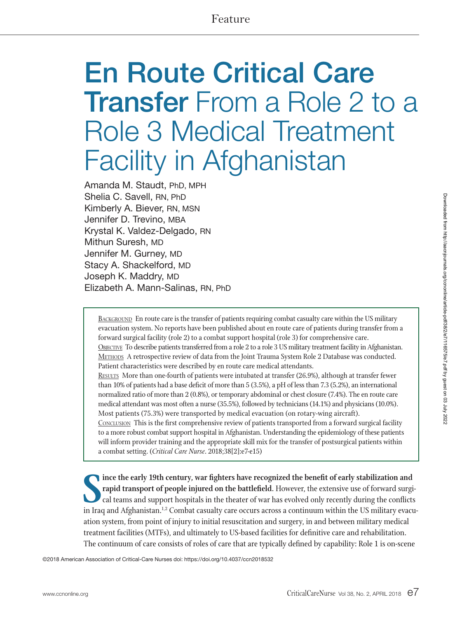# En Route Critical Care Transfer From a Role 2 to a Role 3 Medical Treatment Facility in Afghanistan

Amanda M. Staudt, PhD, MPH Shelia C. Savell, RN, PhD Kimberly A. Biever, RN, MSN Jennifer D. Trevino, MBA Krystal K. Valdez-Delgado, RN Mithun Suresh, MD Jennifer M. Gurney, MD Stacy A. Shackelford, MD Joseph K. Maddry, MD Elizabeth A. Mann-Salinas, RN, PhD

BACKGROUND En route care is the transfer of patients requiring combat casualty care within the US military evacuation system. No reports have been published about en route care of patients during transfer from a forward surgical facility (role 2) to a combat support hospital (role 3) for comprehensive care. Objective To describe patients transferred from a role 2 to a role 3 US military treatment facility in Afghanistan. Methods A retrospective review of data from the Joint Trauma System Role 2 Database was conducted. Patient characteristics were described by en route care medical attendants. Results More than one-fourth of patients were intubated at transfer (26.9%), although at transfer fewer than 10% of patients had a base deficit of more than 5 (3.5%), a pH of less than 7.3 (5.2%), an international normalized ratio of more than 2 (0.8%), or temporary abdominal or chest closure (7.4%). The en route care

medical attendant was most often a nurse (35.5%), followed by technicians (14.1%) and physicians (10.0%). Most patients (75.3%) were transported by medical evacuation (on rotary-wing aircraft). Conclusion This is the first comprehensive review of patients transported from a forward surgical facility to a more robust combat support hospital in Afghanistan. Understanding the epidemiology of these patients will inform provider training and the appropriate skill mix for the transfer of postsurgical patients within a combat setting. (*Critical Care Nurse*. 2018;38[2]:e7-e15)

Since the early 19th century, war fighters have recognized the benefit of early stabilization and rapid transport of people injured on the battlefield. However, the extensive use of forward surgical teams and support hospi **ince the early 19th century, war fighters have recognized the benefit of early stabilization and rapid transport of people injured on the battlefield.** However, the extensive use of forward surgical teams and support hospitals in the theater of war has evolved only recently during the conflicts ation system, from point of injury to initial resuscitation and surgery, in and between military medical treatment facilities (MTFs), and ultimately to US-based facilities for definitive care and rehabilitation. The continuum of care consists of roles of care that are typically defined by capability: Role 1 is on-scene

©2018 American Association of Critical-Care Nurses doi: https://doi.org/10.4037/ccn2018532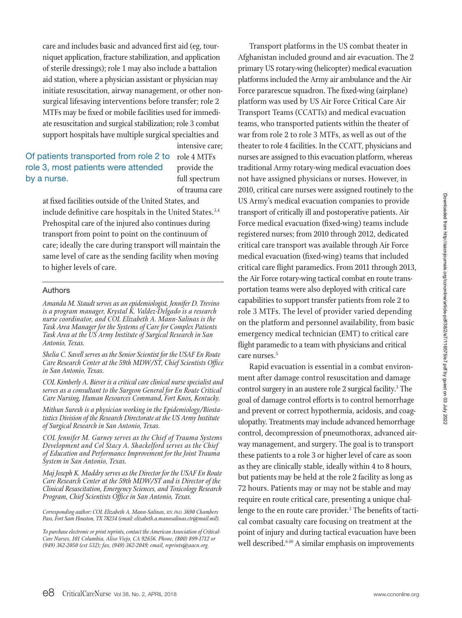care and includes basic and advanced first aid (eg, tourniquet application, fracture stabilization, and application of sterile dressings); role 1 may also include a battalion aid station, where a physician assistant or physician may initiate resuscitation, airway management, or other nonsurgical lifesaving interventions before transfer; role 2 MTFs may be fixed or mobile facilities used for immediate resuscitation and surgical stabilization; role 3 combat support hospitals have multiple surgical specialties and

# Of patients transported from role 2 to role 3, most patients were attended by a nurse.

intensive care; role 4 MTFs provide the full spectrum of trauma care

at fixed facilities outside of the United States, and include definitive care hospitals in the United States.<sup>3,4</sup> Prehospital care of the injured also continues during transport from point to point on the continuum of care; ideally the care during transport will maintain the same level of care as the sending facility when moving to higher levels of care.

#### Authors

*Amanda M. Staudt serves as an epidemiologist, Jennifer D. Trevino is a program manager, Krystal K. Valdez-Delgado is a research nurse coordinator, and COL Elizabeth A. Mann-Salinas is the Task Area Manager for the Systems of Care for Complex Patients Task Area at the US Army Institute of Surgical Research in San Antonio, Texas.*

*Shelia C. Savell serves as the Senior Scientist for the USAF En Route Care Research Center at the 59th MDW/ST, Chief Scientists Office in San Antonio, Texas.*

*COL Kimberly A. Biever is a critical care clinical nurse specialist and serves as a consultant to the Surgeon General for En Route Critical Care Nursing, Human Resources Command, Fort Knox, Kentucky.*

*Mithun Suresh is a physician working in the Epidemiology/Biosta- tistics Division of the Research Directorate at the US Army Institute of Surgical Research in San Antonio, Texas.*

*COL Jennifer M. Gurney serves as the Chief of Trauma Systems Development and Col Stacy A. Shackelford serves as the Chief of Education and Performance Improvement for the Joint Trauma System in San Antonio, Texas.*

*Maj Joseph K. Maddry serves as the Director for the USAF En Route Care Research Center at the 59th MDW/ST and is Director of the Clinical Resuscitation, Emergency Sciences, and Toxicology Research Program, Chief Scientists Office in San Antonio, Texas.*

*Corresponding author: COL Elizabeth A. Mann-Salinas, RN, PhD, 3690 Chambers Pass, Fort Sam Houston, TX 78234 (email: elizabeth.a.mannsalinas.ctr@mail.mil).*

*To purchase electronic or print reprints, contact the American Association of Critical-Care Nurses, 101 Columbia, Aliso Viejo, CA 92656. Phone, (800) 899-1712 or (949) 362-2050 (ext 532); fax, (949) 362-2049; email, reprints@aacn.org.*

Transport platforms in the US combat theater in Afghanistan included ground and air evacuation. The 2 primary US rotary-wing (helicopter) medical evacuation platforms included the Army air ambulance and the Air Force pararescue squadron. The fixed-wing (airplane) platform was used by US Air Force Critical Care Air Transport Teams (CCATTs) and medical evacuation teams, who transported patients within the theater of war from role 2 to role 3 MTFs, as well as out of the theater to role 4 facilities. In the CCATT, physicians and nurses are assigned to this evacuation platform, whereas traditional Army rotary-wing medical evacuation does not have assigned physicians or nurses. However, in 2010, critical care nurses were assigned routinely to the US Army's medical evacuation companies to provide transport of critically ill and postoperative patients. Air Force medical evacuation (fixed-wing) teams include registered nurses; from 2010 through 2012, dedicated critical care transport was available through Air Force medical evacuation (fixed-wing) teams that included critical care flight paramedics. From 2011 through 2013, the Air Force rotary-wing tactical combat en route transportation teams were also deployed with critical care capabilities to support transfer patients from role 2 to role 3 MTFs. The level of provider varied depending on the platform and personnel availability, from basic emergency medical technician (EMT) to critical care flight paramedic to a team with physicians and critical care nurses.<sup>5</sup>

Rapid evacuation is essential in a combat environment after damage control resuscitation and damage control surgery in an austere role 2 surgical facility.<sup>3</sup> The goal of damage control efforts is to control hemorrhage and prevent or correct hypothermia, acidosis, and coagulopathy. Treatments may include advanced hemorrhage control, decompression of pneumothorax, advanced airway management, and surgery. The goal is to transport these patients to a role 3 or higher level of care as soon as they are clinically stable, ideally within 4 to 8 hours, but patients may be held at the role 2 facility as long as 72 hours. Patients may or may not be stable and may require en route critical care, presenting a unique challenge to the en route care provider.<sup>3</sup> The benefits of tactical combat casualty care focusing on treatment at the point of injury and during tactical evacuation have been well described.<sup>6-10</sup> A similar emphasis on improvements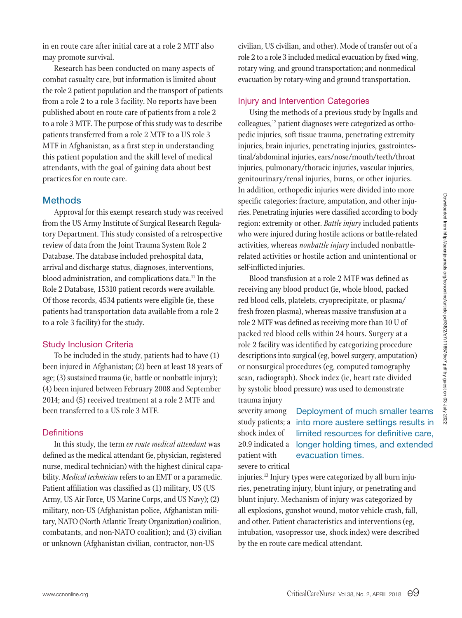in en route care after initial care at a role 2 MTF also may promote survival.

Research has been conducted on many aspects of combat casualty care, but information is limited about the role 2 patient population and the transport of patients from a role 2 to a role 3 facility. No reports have been published about en route care of patients from a role 2 to a role 3 MTF. The purpose of this study was to describe patients transferred from a role 2 MTF to a US role 3 MTF in Afghanistan, as a first step in understanding this patient population and the skill level of medical attendants, with the goal of gaining data about best practices for en route care.

## **Methods**

Approval for this exempt research study was received from the US Army Institute of Surgical Research Regulatory Department. This study consisted of a retrospective review of data from the Joint Trauma System Role 2 Database. The database included prehospital data, arrival and discharge status, diagnoses, interventions, blood administration, and complications data.<sup>11</sup> In the Role 2 Database, 15310 patient records were available. Of those records, 4534 patients were eligible (ie, these patients had transportation data available from a role 2 to a role 3 facility) for the study.

### Study Inclusion Criteria

To be included in the study, patients had to have (1) been injured in Afghanistan; (2) been at least 18 years of age; (3) sustained trauma (ie, battle or nonbattle injury); (4) been injured between February 2008 and September 2014; and (5) received treatment at a role 2 MTF and been transferred to a US role 3 MTF.

#### **Definitions**

In this study, the term *en route medical attendant* was defined as the medical attendant (ie, physician, registered nurse, medical technician) with the highest clinical capability. *Medical technician* refers to an EMT or a paramedic. Patient affiliation was classified as (1) military, US (US Army, US Air Force, US Marine Corps, and US Navy); (2) military, non-US (Afghanistan police, Afghanistan military, NATO (North Atlantic Treaty Organization) coalition, combatants, and non-NATO coalition); and (3) civilian or unknown (Afghanistan civilian, contractor, non-US

civilian, US civilian, and other). Mode of transfer out of a role 2 to a role 3 included medical evacuation by fixed wing, rotary wing, and ground transportation; and nonmedical evacuation by rotary-wing and ground transportation.

## Injury and Intervention Categories

Using the methods of a previous study by Ingalls and colleagues,12 patient diagnoses were categorized as orthopedic injuries, soft tissue trauma, penetrating extremity injuries, brain injuries, penetrating injuries, gastrointestinal/abdominal injuries, ears/nose/mouth/teeth/throat injuries, pulmonary/thoracic injuries, vascular injuries, genitourinary/renal injuries, burns, or other injuries. In addition, orthopedic injuries were divided into more specific categories: fracture, amputation, and other injuries. Penetrating injuries were classified according to body region: extremity or other. *Battle injury* included patients who were injured during hostile actions or battle-related activities, whereas *nonbattle injury* included nonbattlerelated activities or hostile action and unintentional or self-inflicted injuries.

Blood transfusion at a role 2 MTF was defined as receiving any blood product (ie, whole blood, packed red blood cells, platelets, cryoprecipitate, or plasma/ fresh frozen plasma), whereas massive transfusion at a role 2 MTF was defined as receiving more than 10 U of packed red blood cells within 24 hours. Surgery at a role 2 facility was identified by categorizing procedure descriptions into surgical (eg, bowel surgery, amputation) or nonsurgical procedures (eg, computed tomography scan, radiograph). Shock index (ie, heart rate divided by systolic blood pressure) was used to demonstrate trauma injury

severity among study patients; a shock index of ≥0.9 indicated a patient with severe to critical

Deployment of much smaller teams into more austere settings results in limited resources for definitive care, longer holding times, and extended evacuation times.

injuries.<sup>13</sup> Injury types were categorized by all burn injuries, penetrating injury, blunt injury, or penetrating and blunt injury. Mechanism of injury was categorized by all explosions, gunshot wound, motor vehicle crash, fall, and other. Patient characteristics and interventions (eg, intubation, vasopressor use, shock index) were described by the en route care medical attendant.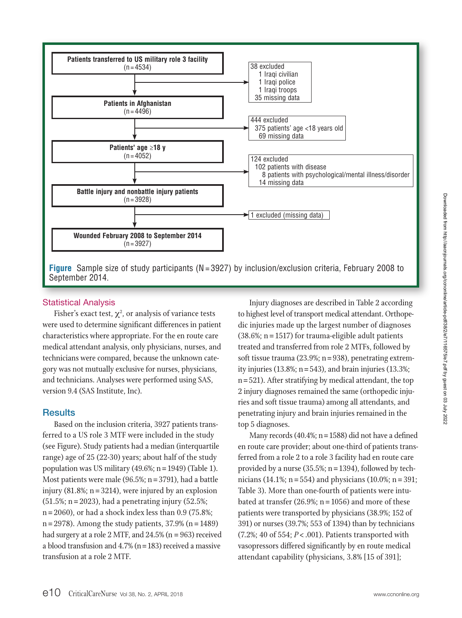

## Statistical Analysis

Fisher's exact test,  $\chi^2$ , or analysis of variance tests were used to determine significant differences in patient characteristics where appropriate. For the en route care medical attendant analysis, only physicians, nurses, and technicians were compared, because the unknown category was not mutually exclusive for nurses, physicians, and technicians. Analyses were performed using SAS, version 9.4 (SAS Institute, Inc).

## **Results**

Based on the inclusion criteria, 3927 patients transferred to a US role 3 MTF were included in the study (see Figure). Study patients had a median (interquartile range) age of 25 (22-30) years; about half of the study population was US military (49.6%;  $n = 1949$ ) (Table 1). Most patients were male (96.5%;  $n = 3791$ ), had a battle injury (81.8%; n = 3214), were injured by an explosion  $(51.5\%; n = 2023)$ , had a penetrating injury  $(52.5\%;$  $n = 2060$ , or had a shock index less than 0.9 (75.8%;  $n = 2978$ ). Among the study patients, 37.9% ( $n = 1489$ ) had surgery at a role 2 MTF, and 24.5% (n = 963) received a blood transfusion and 4.7% (n=183) received a massive transfusion at a role 2 MTF.

Injury diagnoses are described in Table 2 according to highest level of transport medical attendant. Orthopedic injuries made up the largest number of diagnoses  $(38.6\%; n = 1517)$  for trauma-eligible adult patients treated and transferred from role 2 MTFs, followed by soft tissue trauma  $(23.9\%; n=938)$ , penetrating extremity injuries  $(13.8\%; n = 543)$ , and brain injuries  $(13.3\%;$ n =521). After stratifying by medical attendant, the top 2 injury diagnoses remained the same (orthopedic injuries and soft tissue trauma) among all attendants, and penetrating injury and brain injuries remained in the top 5 diagnoses.

Many records (40.4%; n=1588) did not have a defined en route care provider; about one-third of patients transferred from a role 2 to a role 3 facility had en route care provided by a nurse (35.5%;  $n = 1394$ ), followed by technicians (14.1%;  $n = 554$ ) and physicians (10.0%;  $n = 391$ ; Table 3). More than one-fourth of patients were intubated at transfer  $(26.9\%; n = 1056)$  and more of these patients were transported by physicians (38.9%; 152 of 391) or nurses (39.7%; 553 of 1394) than by technicians (7.2%; 40 of 554; *P* < .001). Patients transported with vasopressors differed significantly by en route medical attendant capability (physicians, 3.8% [15 of 391];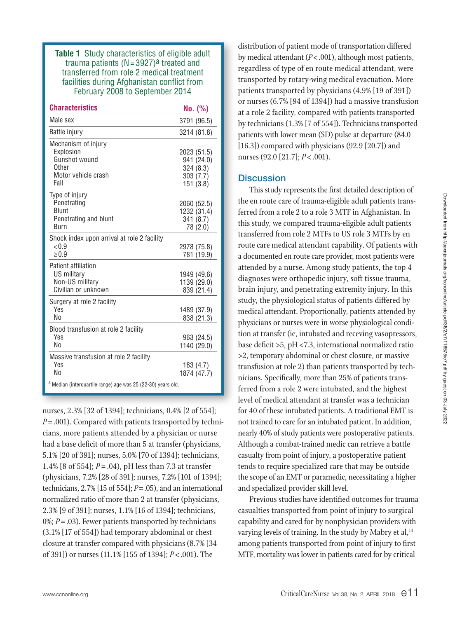**Table 1** Study characteristics of eligible adult trauma patients  $(N=3927)^a$  treated and transferred from role 2 medical treatment facilities during Afghanistan conflict from February 2008 to September 2014

| <b>Characteristics</b>                                                                    | No. (%)                                                         |
|-------------------------------------------------------------------------------------------|-----------------------------------------------------------------|
| Male sex                                                                                  | 3791 (96.5)                                                     |
| Battle injury                                                                             | 3214 (81.8)                                                     |
| Mechanism of injury<br>Explosion<br>Gunshot wound<br>Other<br>Motor vehicle crash<br>Fall | 2023 (51.5)<br>941 (24.0)<br>324 (8.3)<br>303 (7.7)<br>151(3.8) |
| Type of injury<br>Penetrating<br>Blunt<br>Penetrating and blunt<br>Burn                   | 2060 (52.5)<br>1232 (31.4)<br>341 (8.7)<br>78 (2.0)             |
| Shock index upon arrival at role 2 facility<br>< 0.9<br>$\geq 0.9$                        | 2978 (75.8)<br>781 (19.9)                                       |
| <b>Patient affiliation</b><br>US military<br>Non-US military<br>Civilian or unknown       | 1949 (49.6)<br>1139 (29.0)<br>839 (21.4)                        |
| Surgery at role 2 facility<br><b>Yes</b><br>Nο                                            | 1489 (37.9)<br>838 (21.3)                                       |
| Blood transfusion at role 2 facility<br>Yes<br>No                                         | 963 (24.5)<br>1140 (29.0)                                       |
| Massive transfusion at role 2 facility<br><b>Yes</b><br>No                                | 183 (4.7)<br>1874 (47.7)                                        |
| <sup>a</sup> Median (interquartile range) age was 25 (22-30) years old.                   |                                                                 |

nurses, 2.3% [32 of 1394]; technicians, 0.4% [2 of 554]; *P*= .001). Compared with patients transported by technicians, more patients attended by a physician or nurse had a base deficit of more than 5 at transfer (physicians, 5.1% [20 of 391]; nurses, 5.0% [70 of 1394]; technicians, 1.4% [8 of 554]; *P* = .04), pH less than 7.3 at transfer (physicians, 7.2% [28 of 391]; nurses, 7.2% [101 of 1394]; technicians, 2.7% [15 of 554]; *P*=.05), and an international normalized ratio of more than 2 at transfer (physicians, 2.3% [9 of 391]; nurses, 1.1% [16 of 1394]; technicians, 0%; *P* = .03). Fewer patients transported by technicians (3.1% [17 of 554]) had temporary abdominal or chest closure at transfer compared with physicians (8.7% [34 of 391]) or nurses (11.1% [155 of 1394]; *P*< .001). The

distribution of patient mode of transportation differed by medical attendant (*P*<.001), although most patients, regardless of type of en route medical attendant, were transported by rotary-wing medical evacuation. More patients transported by physicians (4.9% [19 of 391]) or nurses (6.7% [94 of 1394]) had a massive transfusion at a role 2 facility, compared with patients transported by technicians (1.3% [7 of 554]). Technicians transported patients with lower mean (SD) pulse at departure (84.0 [16.3]) compared with physicians (92.9 [20.7]) and nurses (92.0 [21.7]; *P*< .001).

## **Discussion**

This study represents the first detailed description of the en route care of trauma-eligible adult patients transferred from a role 2 to a role 3 MTF in Afghanistan. In this study, we compared trauma-eligible adult patients transferred from role 2 MTFs to US role 3 MTFs by en route care medical attendant capability. Of patients with a documented en route care provider, most patients were attended by a nurse. Among study patients, the top 4 diagnoses were orthopedic injury, soft tissue trauma, brain injury, and penetrating extremity injury. In this study, the physiological status of patients differed by medical attendant. Proportionally, patients attended by physicians or nurses were in worse physiological condition at transfer (ie, intubated and receving vasopressors, base deficit >5, pH <7.3, international normalized ratio >2, temporary abdominal or chest closure, or massive transfusion at role 2) than patients transported by technicians. Specifically, more than 25% of patients transferred from a role 2 were intubated, and the highest level of medical attendant at transfer was a technician for 40 of these intubated patients. A traditional EMT is not trained to care for an intubated patient. In addition, nearly 40% of study patients were postoperative patients. Although a combat-trained medic can retrieve a battle casualty from point of injury, a postoperative patient tends to require specialized care that may be outside the scope of an EMT or paramedic, necessitating a higher and specialized provider skill level.

Previous studies have identified outcomes for trauma casualties transported from point of injury to surgical capability and cared for by nonphysician providers with varying levels of training. In the study by Mabry et al,<sup>14</sup> among patients transported from point of injury to first MTF, mortality was lower in patients cared for by critical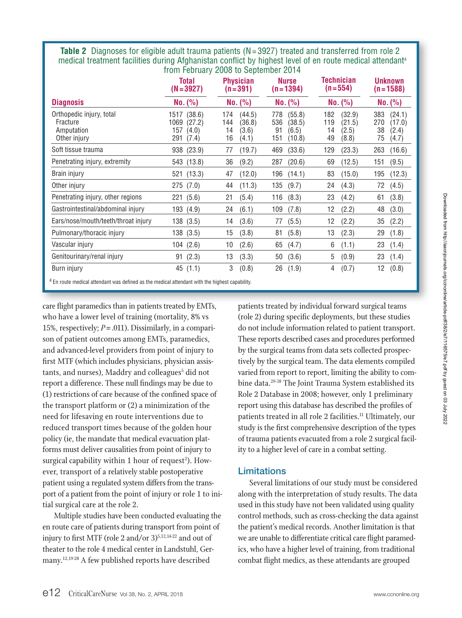**Table 2** Diagnoses for eligible adult trauma patients (N=3927) treated and transferred from role 2 medical treatment facilities during Afghanistan conflict by highest level of en route medical attendant<sup>a</sup> from February 2008 to September 2014

|                                                                    | <b>Total</b><br>$(N=3927)$                                       | <b>Physician</b><br>$(n=391)$                                | <b>Nurse</b><br>$(n=1394)$                                     | Technician<br>$(n = 554)$                                    | <b>Unknown</b><br>$(n=1588)$                                 |
|--------------------------------------------------------------------|------------------------------------------------------------------|--------------------------------------------------------------|----------------------------------------------------------------|--------------------------------------------------------------|--------------------------------------------------------------|
| <b>Diagnosis</b>                                                   | No. (%)                                                          | No. (%)                                                      | No. (%)                                                        | No. (%)                                                      | No. (%)                                                      |
| Orthopedic injury, total<br>Fracture<br>Amputation<br>Other injury | (38.6)<br>1517<br>1069<br>(27.2)<br>157<br>(4.0)<br>(7.4)<br>291 | (44.5)<br>174<br>144<br>(36.8)<br>14<br>(3.6)<br>16<br>(4.1) | (55.8)<br>778<br>536<br>(38.5)<br>91<br>(6.5)<br>151<br>(10.8) | (32.9)<br>182<br>119<br>(21.5)<br>14<br>(2.5)<br>49<br>(8.8) | 383<br>(24.1)<br>270<br>(17.0)<br>38<br>(2.4)<br>75<br>(4.7) |
| Soft tissue trauma                                                 | 938 (23.9)                                                       | (19.7)<br>77                                                 | (33.6)<br>469                                                  | 129<br>(23.3)                                                | 263<br>(16.6)                                                |
| Penetrating injury, extremity                                      | 543 (13.8)                                                       | 36<br>(9.2)                                                  | (20.6)<br>287                                                  | (12.5)<br>69                                                 | (9.5)<br>151                                                 |
| Brain injury                                                       | 521 (13.3)                                                       | (12.0)<br>47                                                 | (14.1)<br>196                                                  | 83<br>(15.0)                                                 | (12.3)<br>195                                                |
| Other injury                                                       | 275 (7.0)                                                        | (11.3)<br>44                                                 | (9.7)<br>135                                                   | 24<br>(4.3)                                                  | 72<br>(4.5)                                                  |
| Penetrating injury, other regions                                  | 221 (5.6)                                                        | (5.4)<br>21                                                  | 116<br>(8.3)                                                   | 23<br>(4.2)                                                  | (3.8)<br>61                                                  |
| Gastrointestinal/abdominal injury                                  | 193<br>(4.9)                                                     | (6.1)<br>24                                                  | (7.8)<br>109                                                   | 12<br>(2.2)                                                  | 48<br>(3.0)                                                  |
| Ears/nose/mouth/teeth/throat injury                                | 138 (3.5)                                                        | (3.6)<br>14                                                  | (5.5)<br>77                                                    | 12<br>(2.2)                                                  | 35<br>(2.2)                                                  |
| Pulmonary/thoracic injury                                          | 138 (3.5)                                                        | 15<br>(3.8)                                                  | (5.8)<br>81                                                    | 13<br>(2.3)                                                  | 29<br>(1.8)                                                  |
| Vascular injury                                                    | 104(2.6)                                                         | (2.6)<br>10                                                  | 65<br>(4.7)                                                    | (1.1)<br>6                                                   | 23<br>(1.4)                                                  |
| Genitourinary/renal injury                                         | 91(2.3)                                                          | 13<br>(3.3)                                                  | 50<br>(3.6)                                                    | 5<br>(0.9)                                                   | 23<br>(1.4)                                                  |
| Burn injury                                                        | 45 (1.1)                                                         | 3<br>(0.8)                                                   | (1.9)<br>26                                                    | (0.7)<br>4                                                   | (0.8)<br>12                                                  |

<sup>a</sup> En route medical attendant was defined as the medical attendant with the highest capability.

care flight paramedics than in patients treated by EMTs, who have a lower level of training (mortality, 8% vs 15%, respectively; *P*=.011). Dissimilarly, in a comparison of patient outcomes among EMTs, paramedics, and advanced-level providers from point of injury to first MTF (which includes physicians, physician assistants, and nurses), Maddry and colleagues<sup>5</sup> did not report a difference. These null findings may be due to (1) restrictions of care because of the confined space of the transport platform or (2) a minimization of the need for lifesaving en route interventions due to reduced transport times because of the golden hour policy (ie, the mandate that medical evacuation platforms must deliver causalities from point of injury to surgical capability within 1 hour of request<sup>2</sup>). However, transport of a relatively stable postoperative patient using a regulated system differs from the transport of a patient from the point of injury or role 1 to initial surgical care at the role 2.

Multiple studies have been conducted evaluating the en route care of patients during transport from point of injury to first MTF (role 2 and/or  $3^{5,12,14-22}$  and out of theater to the role 4 medical center in Landstuhl, Germany.12,19-28 A few published reports have described

patients treated by individual forward surgical teams (role 2) during specific deployments, but these studies do not include information related to patient transport. These reports described cases and procedures performed by the surgical teams from data sets collected prospectively by the surgical team. The data elements compiled varied from report to report, limiting the ability to combine data.29-38 The Joint Trauma System established its Role 2 Database in 2008; however, only 1 preliminary report using this database has described the profiles of patients treated in all role 2 facilities.<sup>11</sup> Ultimately, our study is the first comprehensive description of the types of trauma patients evacuated from a role 2 surgical facility to a higher level of care in a combat setting.

## Limitations

Several limitations of our study must be considered along with the interpretation of study results. The data used in this study have not been validated using quality control methods, such as cross-checking the data against the patient's medical records. Another limitation is that we are unable to differentiate critical care flight paramedics, who have a higher level of training, from traditional combat flight medics, as these attendants are grouped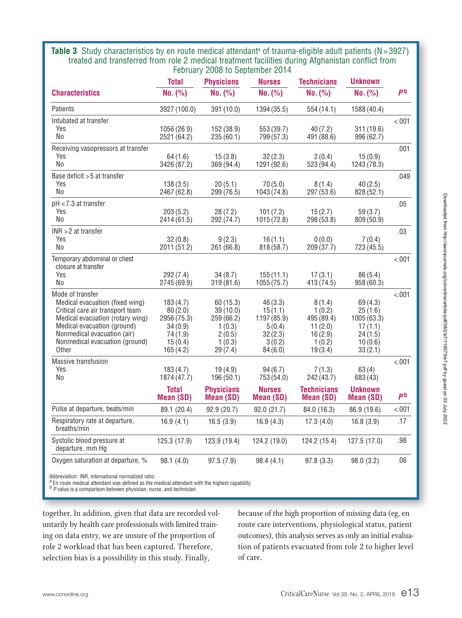**Table 3** Study characteristics by en route medical attendant<sup>a</sup> of trauma-eligible adult patients (N=3927) treated and transferred from role 2 medical treatment facilities during Afghanistan conflict from February 2008 to September 2014

|                                                                                                                                                                                                                                      | <b>Total</b>                                                                    | <b>Physicians</b>                                                          | <b>Nurses</b>                                                               | <b>Technicians</b>                                                        | <b>Unknown</b>                                                               |                |
|--------------------------------------------------------------------------------------------------------------------------------------------------------------------------------------------------------------------------------------|---------------------------------------------------------------------------------|----------------------------------------------------------------------------|-----------------------------------------------------------------------------|---------------------------------------------------------------------------|------------------------------------------------------------------------------|----------------|
| <b>Characteristics</b>                                                                                                                                                                                                               | No. (%)                                                                         | No. (%)                                                                    | No. (%)                                                                     | No. (%)                                                                   | No. (%)                                                                      | P <sub>b</sub> |
| Patients                                                                                                                                                                                                                             | 3927 (100.0)                                                                    | 391 (10.0)                                                                 | 1394 (35.5)                                                                 | 554 (14.1)                                                                | 1588 (40.4)                                                                  |                |
| Intubated at transfer<br>Yes<br>N <sub>o</sub>                                                                                                                                                                                       | 1056 (26.9)<br>2521 (64.2)                                                      | 152 (38.9)<br>235(60.1)                                                    | 553 (39.7)<br>799 (57.3)                                                    | 40(7.2)<br>491 (88.6)                                                     | 311 (19.6)<br>996 (62.7)                                                     | < 001          |
| Receiving vasopressors at transfer<br>Yes<br>No                                                                                                                                                                                      | 64(1.6)<br>3426 (87.2)                                                          | 15(3.8)<br>369(94.4)                                                       | 32(2.3)<br>1291 (92.6)                                                      | 2(0.4)<br>523 (94.4)                                                      | 15(0.9)<br>1243 (78.3)                                                       | .001           |
| Base deficit > 5 at transfer<br>Yes<br>No                                                                                                                                                                                            | 138(3.5)<br>2467 (62.8)                                                         | 20(5.1)<br>299 (76.5)                                                      | 70(5.0)<br>1043 (74.8)                                                      | 8(1.4)<br>297 (53.6)                                                      | 40(2.5)<br>828 (52.1)                                                        | .049           |
| pH <7.3 at transfer<br>Yes<br>No                                                                                                                                                                                                     | 203(5.2)<br>2414 (61.5)                                                         | 28(7.2)<br>292 (74.7)                                                      | 101(7.2)<br>1015(72.8)                                                      | 15(2.7)<br>298 (53.8)                                                     | 59(3.7)<br>809 (50.9)                                                        | .05            |
| $INR > 2$ at transfer<br>Yes<br>No                                                                                                                                                                                                   | 32(0.8)<br>2011(51.2)                                                           | 9(2.3)<br>261(66.8)                                                        | 16(1.1)<br>818(58.7)                                                        | 0(0.0)<br>209(37.7)                                                       | 7(0.4)<br>723 (45.5)                                                         | .03            |
| Temporary abdominal or chest<br>closure at transfer<br>Yes<br>No                                                                                                                                                                     | 292 (7.4)<br>2745 (69.9)                                                        | 34(8.7)<br>319(81.6)                                                       | 155(11.1)<br>1055(75.7)                                                     | 17(3.1)<br>413(74.5)                                                      | 86(5.4)<br>958 (60.3)                                                        | < 0.01         |
| Mode of transfer<br>Medical evacuation (fixed wing)<br>Critical care air transport team<br>Medical evacuation (rotary wing)<br>Medical evacuation (ground)<br>Nonmedical evacuation (air)<br>Nonmedical evacuation (ground)<br>Other | 183(4.7)<br>80(2.0)<br>2956 (75.3)<br>34(0.9)<br>74(1.9)<br>15(0.4)<br>165(4.2) | 60(15.3)<br>39(10.0)<br>259(66.2)<br>1(0.3)<br>2(0.5)<br>1(0.3)<br>29(7.4) | 46(3.3)<br>15(1.1)<br>1197 (85.9)<br>5(0.4)<br>32(2.3)<br>3(0.2)<br>84(6.0) | 8(1.4)<br>1(0.2)<br>495 (89.4)<br>11(2.0)<br>16(2.9)<br>1(0.2)<br>19(3.4) | 69(4.3)<br>25(1.6)<br>1005(63.3)<br>17(1.1)<br>24(1.5)<br>10(0.6)<br>33(2.1) | < .001         |
| Massive transfusion<br>Yes<br>No                                                                                                                                                                                                     | 183(4.7)<br>1874(47.7)                                                          | 19(4.9)<br>196(50.1)                                                       | 94(6.7)<br>753 (54.0)                                                       | 7(1.3)<br>242 (43.7)                                                      | 63(4)<br>683 (43)                                                            | &001           |
|                                                                                                                                                                                                                                      | <b>Total</b><br><b>Mean (SD)</b>                                                | <b>Physicians</b><br><b>Mean (SD)</b>                                      | <b>Nurses</b><br><b>Mean (SD)</b>                                           | <b>Technicians</b><br><b>Mean (SD)</b>                                    | <b>Unknown</b><br><b>Mean (SD)</b>                                           | P <sub>b</sub> |
| Pulse at departure, beats/min                                                                                                                                                                                                        | 89.1 (20.4)                                                                     | 92.9 (20.7)                                                                | 92.0(21.7)                                                                  | 84.0 (16.3)                                                               | 86.9 (19.6)                                                                  | < .001         |
| Respiratory rate at departure,<br>breaths/min                                                                                                                                                                                        | 16.9(4.1)                                                                       | 16.5(3.9)                                                                  | 16.9(4.3)                                                                   | 17.3(4.0)                                                                 | 16.8(3.9)                                                                    | .17            |
| Systolic blood pressure at<br>departure, mm Hg                                                                                                                                                                                       | 125.3 (17.9)                                                                    | 123.9 (19.4)                                                               | 124.2(19.0)                                                                 | 124.2 (15.4)                                                              | 127.5(17.0)                                                                  | .98            |
| Oxygen saturation at departure, %                                                                                                                                                                                                    | 98.1 (4.0)                                                                      | 97.5 (7.9)                                                                 | 98.4 (4.1)                                                                  | 97.8 (3.3)                                                                | 98.0(3.2)                                                                    | .06            |

Abbreviation: INR, international normalized ratio.<br><sup>a</sup> En route medical attendant was defined as the medical attendant with the highest capability.

b<sup>P</sup> *P* value is a comparison between physician, nurse, and technician.

together. In addition, given that data are recorded voluntarily by health care professionals with limited training on data entry, we are unsure of the proportion of role 2 workload that has been captured. Therefore, selection bias is a possibility in this study. Finally,

because of the high proportion of missing data (eg, en route care interventions, physiological status, patient outcomes), this analysis serves as only an initial evaluation of patients evacuated from role 2 to higher level of care.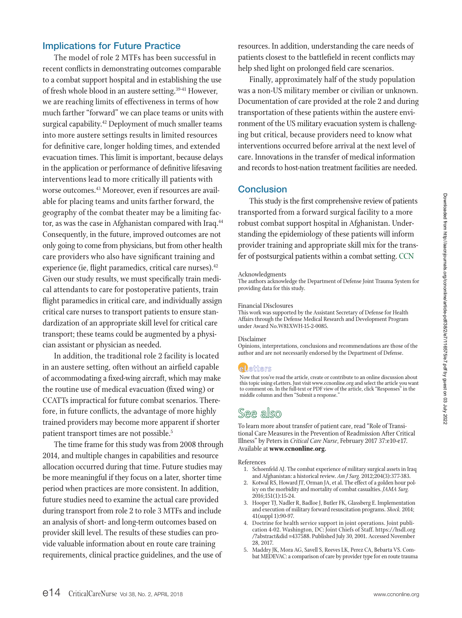# Implications for Future Practice

The model of role 2 MTFs has been successful in recent conflicts in demonstrating outcomes comparable to a combat support hospital and in establishing the use of fresh whole blood in an austere setting.<sup>39-41</sup> However, we are reaching limits of effectiveness in terms of how much farther "forward" we can place teams or units with surgical capability.<sup>42</sup> Deployment of much smaller teams into more austere settings results in limited resources for definitive care, longer holding times, and extended evacuation times. This limit is important, because delays in the application or performance of definitive lifesaving interventions lead to more critically ill patients with worse outcomes.43 Moreover, even if resources are available for placing teams and units farther forward, the geography of the combat theater may be a limiting factor, as was the case in Afghanistan compared with Iraq.<sup>44</sup> Consequently, in the future, improved outcomes are not only going to come from physicians, but from other health care providers who also have significant training and experience (ie, flight paramedics, critical care nurses).<sup>42</sup> Given our study results, we must specifically train medical attendants to care for postoperative patients, train flight paramedics in critical care, and individually assign critical care nurses to transport patients to ensure standardization of an appropriate skill level for critical care transport; these teams could be augmented by a physician assistant or physician as needed.

In addition, the traditional role 2 facility is located in an austere setting, often without an airfield capable of accommodating a fixed-wing aircraft, which may make the routine use of medical evacuation (fixed wing) or CCATTs impractical for future combat scenarios. Therefore, in future conflicts, the advantage of more highly trained providers may become more apparent if shorter patient transport times are not possible.5

The time frame for this study was from 2008 through 2014, and multiple changes in capabilities and resource allocation occurred during that time. Future studies may be more meaningful if they focus on a later, shorter time period when practices are more consistent. In addition, future studies need to examine the actual care provided during transport from role 2 to role 3 MTFs and include an analysis of short- and long-term outcomes based on provider skill level. The results of these studies can provide valuable information about en route care training requirements, clinical practice guidelines, and the use of

resources. In addition, understanding the care needs of patients closest to the battlefield in recent conflicts may help shed light on prolonged field care scenarios.

Finally, approximately half of the study population was a non-US military member or civilian or unknown. Documentation of care provided at the role 2 and during transportation of these patients within the austere environment of the US military evacuation system is challenging but critical, because providers need to know what interventions occurred before arrival at the next level of care. Innovations in the transfer of medical information and records to host-nation treatment facilities are needed.

# **Conclusion**

This study is the first comprehensive review of patients transported from a forward surgical facility to a more robust combat support hospital in Afghanistan. Understanding the epidemiology of these patients will inform provider training and appropriate skill mix for the transfer of postsurgical patients within a combat setting. CCN

#### Acknowledgments

The authors acknowledge the Department of Defense Joint Trauma System for providing data for this study.

#### Financial Disclosures

This work was supported by the Assistant Secretary of Defense for Health Affairs through the Defense Medical Research and Development Program under Award No.W81XWH-15-2-0085.

#### Disclaimer

Opinions, interpretations, conclusions and recommendations are those of the author and are not necessarily endorsed by the Department of Defense.

## **eletters**

Now that you've read the article, create or contribute to an online discussion about this topic using eLetters. Just visit www.ccnonline.org and select the article you want to comment on. In the full-text or PDF view of the article, click "Responses" in the middle column and then "Submit a response."

# See also

To learn more about transfer of patient care, read "Role of Transitional Care Measures in the Prevention of Readmission After Critical Illness" by Peters in *Critical Care Nurse*, February 2017 37:e10-e17. Available at **www.ccnonline.org.**

#### References

- 1. Schoenfeld AJ. The combat experience of military surgical assets in Iraq and Afghanistan: a historical review. *Am J Surg.* 2012;204(3):377-383.
- 2. Kotwal RS, Howard JT, Orman JA, et al. The effect of a golden hour policy on the morbidity and mortality of combat casualties. *JAMA Surg.*  2016;151(1):15-24.
- 3. Hooper TJ, Nadler R, Badloe J, Butler FK, Glassberg E. Implementation and execution of military forward resuscitation programs. *Shock.* 2014; 41(suppl 1):90-97.
- 4. Doctrine for health service support in joint operations. Joint publication 4-02. Washington, DC: Joint Chiefs of Staff. https://hsdl.org /?abstract&did =437588. Published July 30, 2001. Accessed November 28, 2017.
- 5. Maddry JK, Mora AG, Savell S, Reeves LK, Perez CA, Bebarta VS. Combat MEDEVAC: a comparison of care by provider type for en route trauma